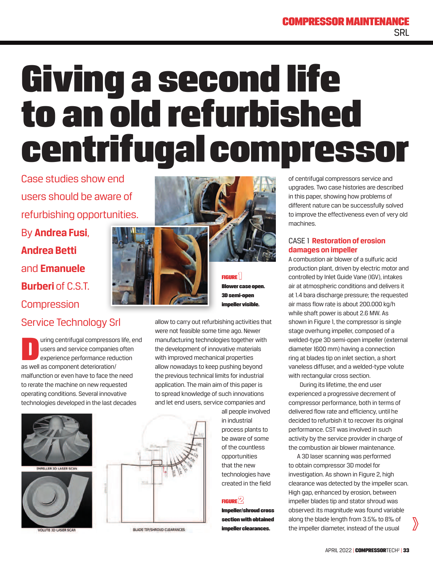## **COMPRESSOR MAINTENA SRL**

# Giving a second life to an old refurbished centrifugal compressor

Case studies show end users should be aware of refurbishing opportunities. By **Andrea Fusi**,

**Andrea Betti** and **Emanuele Burberi of C.S.T. Compression** 

## Service Technology Srl

uring centrifugal compressor<br>users and service companies<br>experience performance red<br>as well as component deterioration/ uring centrifugal compressors life, end users and service companies often experience performance reduction malfunction or even have to face the need to rerate the machine on new requested operating conditions. Several innovative technologies developed in the last decades



ELLER 3D LASER SCAN



LUTE 3D LASER SCA





FIGURE<sup>1</sup> Blower case open. 3D semi-open impeller visible.

allow to carry out refurbishing activities that were not feasible some time ago. Newer manufacturing technologies together with the development of innovative materials with improved mechanical properties allow nowadays to keep pushing beyond the previous technical limits for industrial application. The main aim of this paper is to spread knowledge of such innovations and let end users, service companies and

> all people involved in industrial process plants to be aware of some of the countless opportunities that the new technologies have created in the field

#### **FIGURE**  $2$

Impeller/shroud cross section with obtained impeller clearances.

of centrifugal compressors service and upgrades. Two case histories are described in this paper, showing how problems of different nature can be successfully solved to improve the effectiveness even of very old machines.

#### CASE 1 **Restoration of erosion damages on impeller**

A combustion air blower of a sulfuric acid production plant, driven by electric motor and controlled by Inlet Guide Vane (IGV), intakes air at atmospheric conditions and delivers it at 1.4 bara discharge pressure; the requested air mass flow rate is about 200.000 kg/h while shaft power is about 2.6 MW. As shown in Figure 1, the compressor is single stage overhung impeller, composed of a welded-type 3D semi-open impeller (external diameter 1600 mm) having a connection ring at blades tip on inlet section, a short vaneless diffuser, and a welded-type volute with rectangular cross section.

 During its lifetime, the end user experienced a progressive decrement of compressor performance, both in terms of delivered flow rate and efficiency, until he decided to refurbish it to recover its original performance. CST was involved in such activity by the service provider in charge of the combustion air blower maintenance.

A 3D laser scanning was performed to obtain compressor 3D model for investigation. As shown in Figure 2, high clearance was detected by the impeller scan. High gap, enhanced by erosion, between impeller blades tip and stator shroud was observed: its magnitude was found variable along the blade length from 3.5‰ to 8‰ of the impeller diameter, instead of the usual

**BLADE TIP/SHROUD CLEARANCES** 

 $\sum$